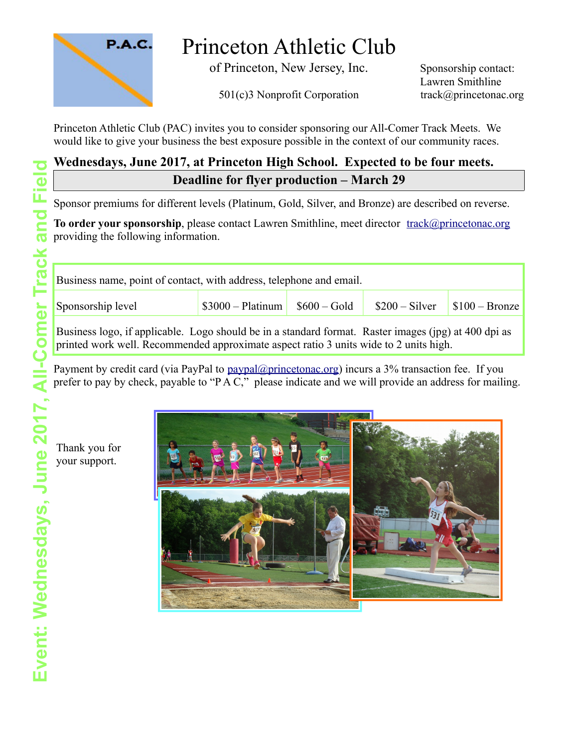

# Princeton Athletic Club

of Princeton, New Jersey, Inc. Sponsorship contact:

501(c)3 Nonprofit Corporation track@princetonac.org

Lawren Smithline

Princeton Athletic Club (PAC) invites you to consider sponsoring our All-Comer Track Meets. We would like to give your business the best exposure possible in the context of our community races.

## **Wednesdays, June 2017, at Princeton High School. Expected to be four meets. Deadline for flyer production – March 29**

Sponsor premiums for different levels (Platinum, Gold, Silver, and Bronze) are described on reverse.

**To order your sponsorship**, please contact Lawren Smithline, meet director [track@princetonac.org](mailto:track@princetonac.org) providing the following information.

| Business name, point of contact, with address, telephone and email.                                                                                                                           |                    |               |                 |                       |
|-----------------------------------------------------------------------------------------------------------------------------------------------------------------------------------------------|--------------------|---------------|-----------------|-----------------------|
| Sponsorship level                                                                                                                                                                             | $$3000 - Platinum$ | $$600 - Gold$ | $$200 - Silver$ | $\mid$ \$100 – Bronze |
| Business logo, if applicable. Logo should be in a standard format. Raster images (jpg) at 400 dpi as<br>printed work well. Recommended approximate aspect ratio 3 units wide to 2 units high. |                    |               |                 |                       |

Payment by credit card (via PayPal to [paypal@princetonac.org\)](mailto:paypal@princetonac.org) incurs a 3% transaction fee. If you prefer to pay by check, payable to "P A C," please indicate and we will provide an address for mailing.

Thank you for your support.